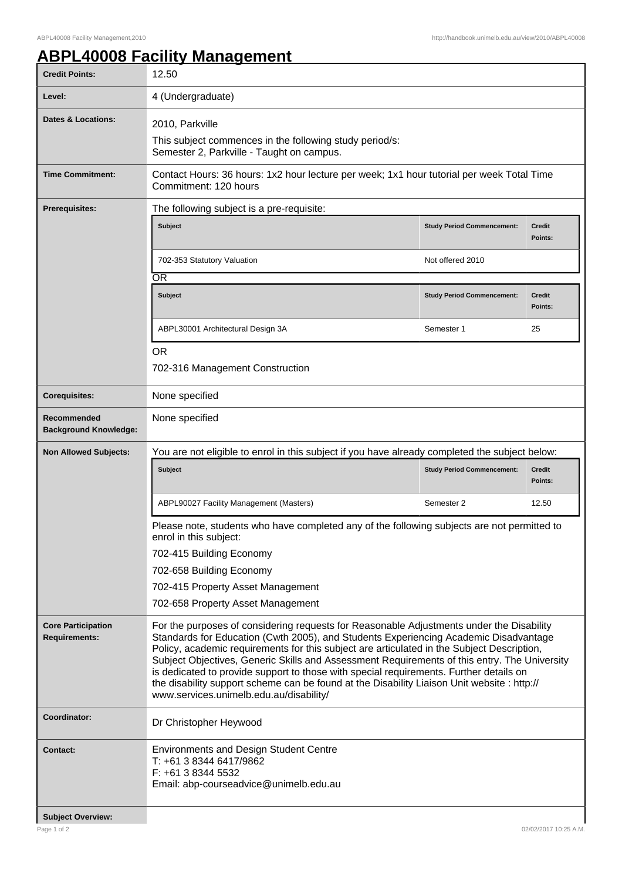## **ABPL40008 Facility Management**

| <b>Credit Points:</b>                             | 12.50                                                                                                                                                                                                                                                                                                                                                                                                                                                                                                                                                                                                              |                                   |                          |  |
|---------------------------------------------------|--------------------------------------------------------------------------------------------------------------------------------------------------------------------------------------------------------------------------------------------------------------------------------------------------------------------------------------------------------------------------------------------------------------------------------------------------------------------------------------------------------------------------------------------------------------------------------------------------------------------|-----------------------------------|--------------------------|--|
| Level:                                            | 4 (Undergraduate)                                                                                                                                                                                                                                                                                                                                                                                                                                                                                                                                                                                                  |                                   |                          |  |
| <b>Dates &amp; Locations:</b>                     | 2010, Parkville                                                                                                                                                                                                                                                                                                                                                                                                                                                                                                                                                                                                    |                                   |                          |  |
|                                                   | This subject commences in the following study period/s:<br>Semester 2, Parkville - Taught on campus.                                                                                                                                                                                                                                                                                                                                                                                                                                                                                                               |                                   |                          |  |
| <b>Time Commitment:</b>                           | Contact Hours: 36 hours: 1x2 hour lecture per week; 1x1 hour tutorial per week Total Time<br>Commitment: 120 hours                                                                                                                                                                                                                                                                                                                                                                                                                                                                                                 |                                   |                          |  |
| <b>Prerequisites:</b>                             | The following subject is a pre-requisite:                                                                                                                                                                                                                                                                                                                                                                                                                                                                                                                                                                          |                                   |                          |  |
|                                                   | Subject                                                                                                                                                                                                                                                                                                                                                                                                                                                                                                                                                                                                            | <b>Study Period Commencement:</b> | <b>Credit</b><br>Points: |  |
|                                                   | 702-353 Statutory Valuation                                                                                                                                                                                                                                                                                                                                                                                                                                                                                                                                                                                        | Not offered 2010                  |                          |  |
|                                                   | <b>OR</b>                                                                                                                                                                                                                                                                                                                                                                                                                                                                                                                                                                                                          |                                   |                          |  |
|                                                   | <b>Subject</b>                                                                                                                                                                                                                                                                                                                                                                                                                                                                                                                                                                                                     | <b>Study Period Commencement:</b> | <b>Credit</b><br>Points: |  |
|                                                   | ABPL30001 Architectural Design 3A                                                                                                                                                                                                                                                                                                                                                                                                                                                                                                                                                                                  | Semester 1                        | 25                       |  |
|                                                   | <b>OR</b>                                                                                                                                                                                                                                                                                                                                                                                                                                                                                                                                                                                                          |                                   |                          |  |
|                                                   | 702-316 Management Construction                                                                                                                                                                                                                                                                                                                                                                                                                                                                                                                                                                                    |                                   |                          |  |
| <b>Corequisites:</b>                              | None specified                                                                                                                                                                                                                                                                                                                                                                                                                                                                                                                                                                                                     |                                   |                          |  |
| Recommended<br><b>Background Knowledge:</b>       | None specified                                                                                                                                                                                                                                                                                                                                                                                                                                                                                                                                                                                                     |                                   |                          |  |
| <b>Non Allowed Subjects:</b>                      | You are not eligible to enrol in this subject if you have already completed the subject below:                                                                                                                                                                                                                                                                                                                                                                                                                                                                                                                     |                                   |                          |  |
|                                                   | <b>Subject</b>                                                                                                                                                                                                                                                                                                                                                                                                                                                                                                                                                                                                     | <b>Study Period Commencement:</b> | <b>Credit</b><br>Points: |  |
|                                                   | ABPL90027 Facility Management (Masters)                                                                                                                                                                                                                                                                                                                                                                                                                                                                                                                                                                            | Semester 2                        | 12.50                    |  |
|                                                   | Please note, students who have completed any of the following subjects are not permitted to<br>enrol in this subject:                                                                                                                                                                                                                                                                                                                                                                                                                                                                                              |                                   |                          |  |
|                                                   | 702-415 Building Economy                                                                                                                                                                                                                                                                                                                                                                                                                                                                                                                                                                                           |                                   |                          |  |
|                                                   | 702-658 Building Economy                                                                                                                                                                                                                                                                                                                                                                                                                                                                                                                                                                                           |                                   |                          |  |
|                                                   | 702-415 Property Asset Management                                                                                                                                                                                                                                                                                                                                                                                                                                                                                                                                                                                  |                                   |                          |  |
|                                                   | 702-658 Property Asset Management                                                                                                                                                                                                                                                                                                                                                                                                                                                                                                                                                                                  |                                   |                          |  |
| <b>Core Participation</b><br><b>Requirements:</b> | For the purposes of considering requests for Reasonable Adjustments under the Disability<br>Standards for Education (Cwth 2005), and Students Experiencing Academic Disadvantage<br>Policy, academic requirements for this subject are articulated in the Subject Description,<br>Subject Objectives, Generic Skills and Assessment Requirements of this entry. The University<br>is dedicated to provide support to those with special requirements. Further details on<br>the disability support scheme can be found at the Disability Liaison Unit website : http://<br>www.services.unimelb.edu.au/disability/ |                                   |                          |  |
| Coordinator:                                      | Dr Christopher Heywood                                                                                                                                                                                                                                                                                                                                                                                                                                                                                                                                                                                             |                                   |                          |  |
| <b>Contact:</b>                                   | <b>Environments and Design Student Centre</b><br>T: +61 3 8344 6417/9862<br>F: +61 3 8344 5532<br>Email: abp-courseadvice@unimelb.edu.au                                                                                                                                                                                                                                                                                                                                                                                                                                                                           |                                   |                          |  |
| <b>Subject Overview:</b>                          |                                                                                                                                                                                                                                                                                                                                                                                                                                                                                                                                                                                                                    |                                   |                          |  |
| Page 1 of 2                                       |                                                                                                                                                                                                                                                                                                                                                                                                                                                                                                                                                                                                                    |                                   | 02/02/2017 10:25 A.M.    |  |